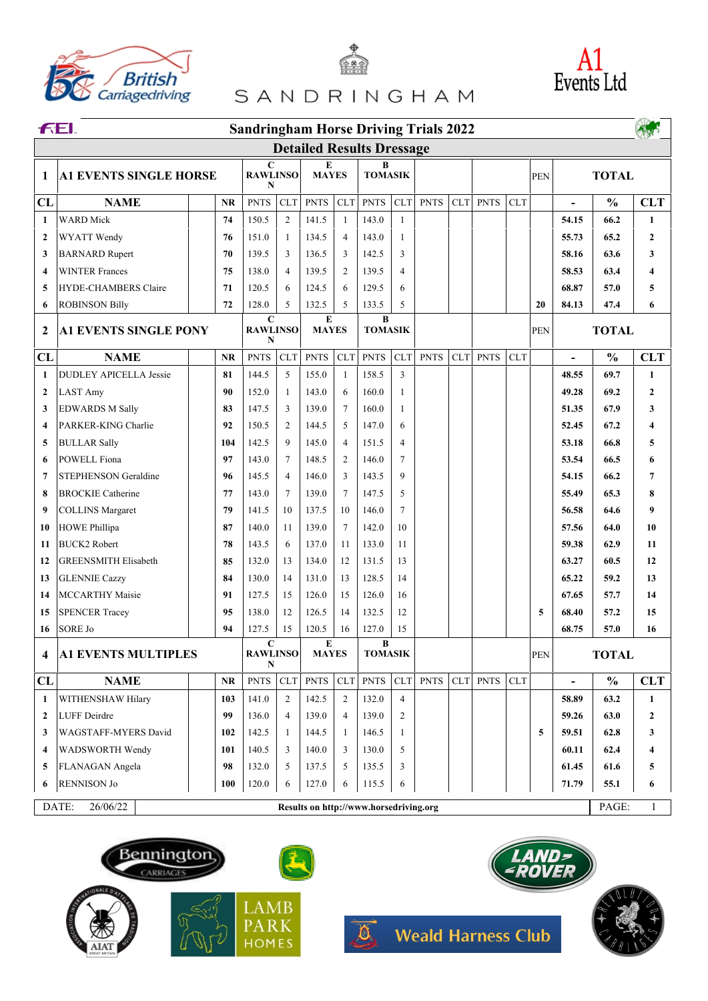





| <b>EXAMPLAND PARK</b><br>MANY HOMES <b>AND Weald Harness Club</b> |  |  |  |
|-------------------------------------------------------------------|--|--|--|
|                                                                   |  |  |  |
|                                                                   |  |  |  |





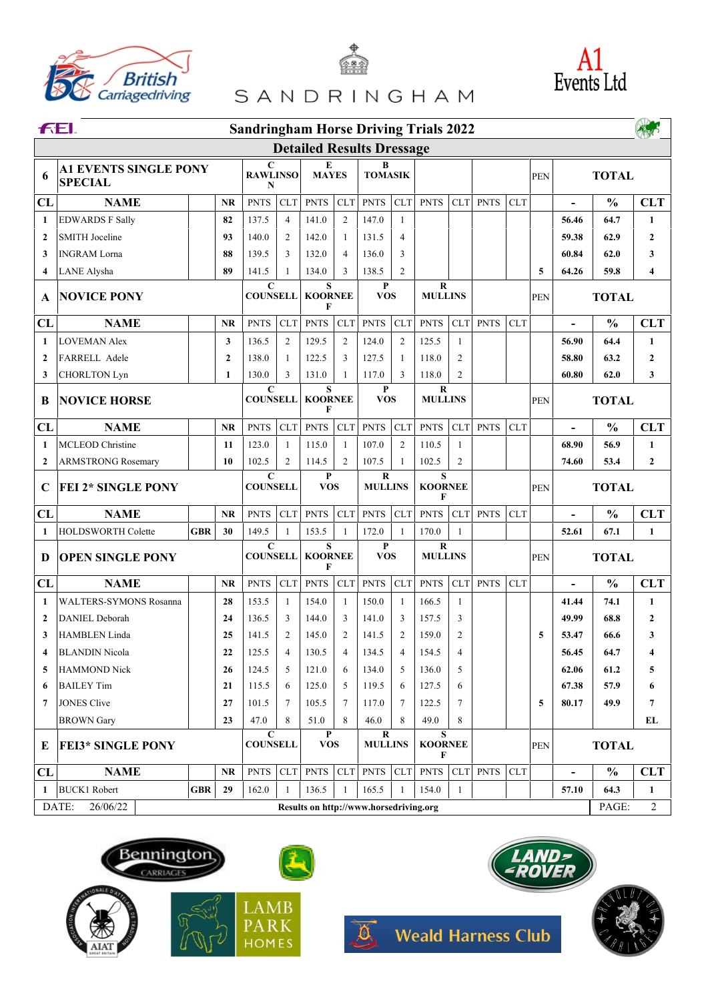





| <b>EXAMPLE AND DESCRIPARK</b><br>AND PARK <b>SOLUS</b> Weald Harness Club |  |  |  |  |  |
|---------------------------------------------------------------------------|--|--|--|--|--|
|                                                                           |  |  |  |  |  |
|                                                                           |  |  |  |  |  |
|                                                                           |  |  |  |  |  |
|                                                                           |  |  |  |  |  |





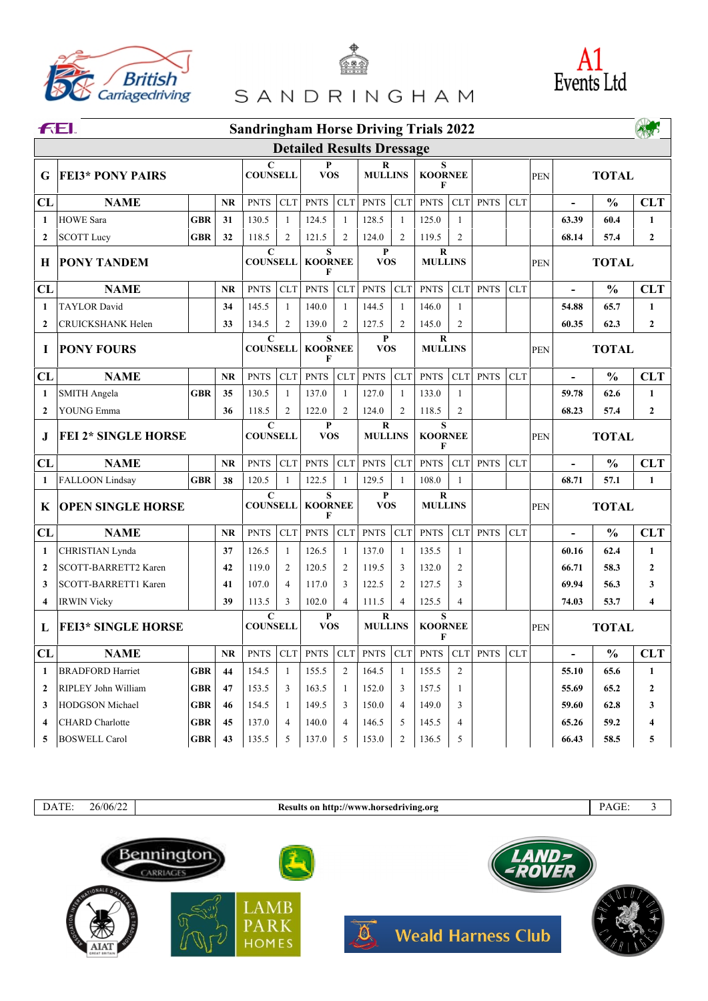



| <b>EXAMPLE AND PARK</b> Meald Harness Club |  |  |  |
|--------------------------------------------|--|--|--|
|                                            |  |  |  |
|                                            |  |  |  |
|                                            |  |  |  |
|                                            |  |  |  |

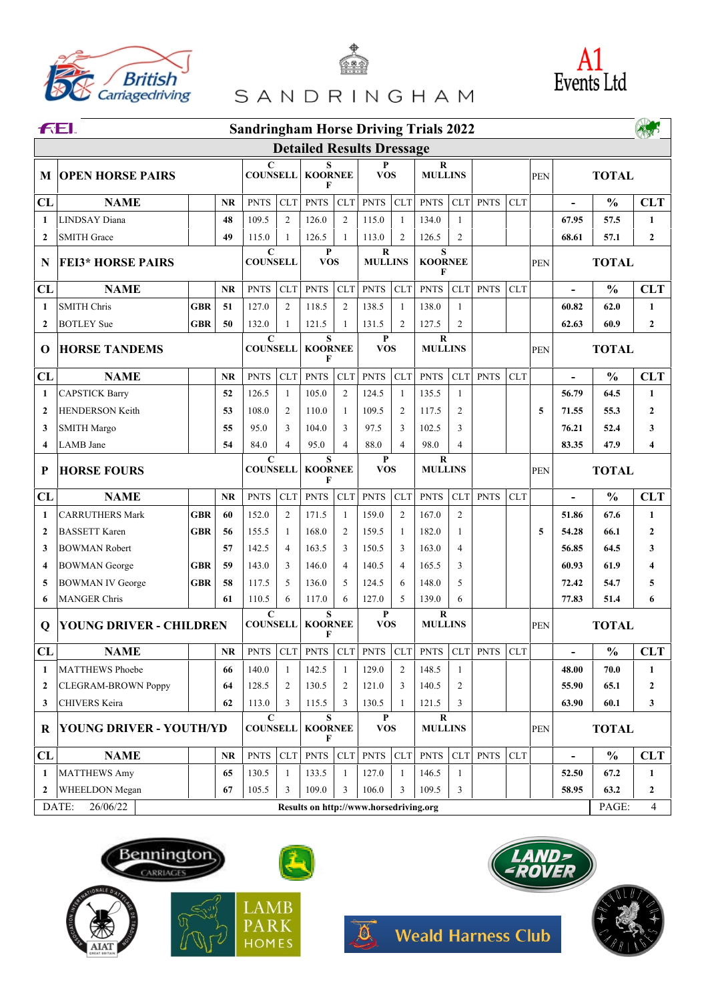





| <b>EXAMPLE AND DESCRIPED MEDIATES</b> Weald Harness Club |  |  |  |
|----------------------------------------------------------|--|--|--|
|                                                          |  |  |  |
|                                                          |  |  |  |